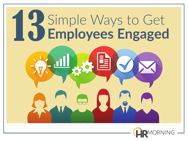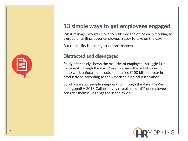# **13 simple ways to get employees engaged**

What manager wouldn't love to walk into the office each morning to a group of smiling, eager employees, ready to take on the day?

But the reality is … that just doesn't happen.

# **Distracted and disengaged**

Study after study shows the majority of employees struggle just to make it through the day. Presenteeism – the act of showing up to work unfocused – costs companies \$150 billion a year in productivity, according to the American Medical Association.

So why are your people sleepwalking through the day? They're unengaged! A 2018 Gallup survey reveals only 15% of employees consider themselves engaged in their work.



| --<br>and the<br><b>Contract</b><br>man a<br>_____ |
|----------------------------------------------------|
|                                                    |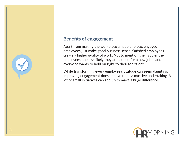#### **Benefits of engagement**

Apart from making the workplace a happier place, engaged employees just make good business sense. Satisfied employees create a higher quality of work. Not to mention the happier the employees, the less likely they are to look for a new job – and everyone wants to hold on tight to their top talent.

While transforming every employee's attitude can seem daunting, improving engagement doesn't have to be a massive undertaking. A lot of small initiatives can add up to make a huge difference.



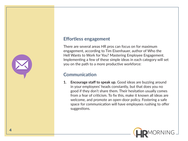### **Effortless engagement**

There are several areas HR pros can focus on for maximum engagement, according to Tim Eisenhauer, author of Who the Hell Wants to Work for You? Mastering Employee Engagement. Implementing a few of these simple ideas in each category will set you on the path to a more productive workforce:

## **Communication**

**1. Encourage staff to speak up.** Good ideas are buzzing around in your employees' heads constantly, but that does you no good if they don't share them. Their hesitation usually comes from a fear of criticism. To fix this, make it known all ideas are welcome, and promote an open-door policy. Fostering a safe space for communication will have employees rushing to offer suggestions.



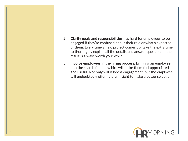- **2. Clarify goals and responsibilities.** It's hard for employees to be engaged if they're confused about their role or what's expected of them. Every time a new project comes up, take the extra time to thoroughly explain all the details and answer questions – the result is always worth your while.
- **3. Involve employees in the hiring process.** Bringing an employee into the search for a new hire will make them feel appreciated and useful. Not only will it boost engagement, but the employee will undoubtedly offer helpful insight to make a better selection.

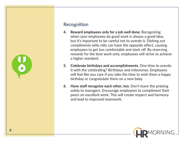# **Recognition**

- **4. Reward employees only for a job well done.** Recognizing when your employees do good work is always a good idea, but it's important to be careful not to overdo it. Dishing out compliments willy-nilly can have the opposite effect, causing employees to get too comfortable and slack off. By reserving rewards for the best work only, employees will strive to achieve a higher standard.
- **5. Celebrate birthdays and accomplishments.** One time to overdo it with the celebrating? Birthdays and milestones. Employees will feel like you care if you take the time to wish them a happy birthday or congratulate them on a new baby.
- **6. Have staff recognize each other, too.** Don't leave the praising solely to managers. Encourage employees to compliment their peers on excellent work. This will create respect and harmony and lead to improved teamwork.

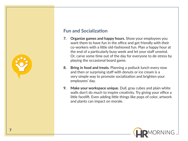# **Fun and Socialization**

- **7. Organize games and happy hours.** Show your employees you want them to have fun in the office and get friendly with their co-workers with a little old-fashioned fun. Plan a happy hour at the end of a particularly busy week and let your staff unwind. Or, carve some time out of the day for everyone to de-stress by playing the occasional board game.
- **8. Bring in food and treats.** Planning a potluck lunch every now and then or surprising staff with donuts or ice cream is a very simple way to promote socialization and brighten your employees' day.
- **9. Make your workspace unique.** Dull, gray cubes and plain white walls don't do much to inspire creativity. Try giving your office a little facelift. Even adding little things like pops of color, artwork and plants can impact on morale.

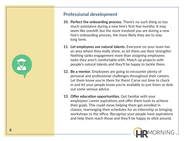

# **Professional development**

- **10. Perfect the onboarding process.** There's no such thing as too much assistance during a new hire's first few months. It may seem like overkill, but the more involved you are during a new hire's onboarding process, the more likely they are to stay long term.
- **11. Let employees use natural talents.** Everyone on your team has an area where they really shine, so let them use their strengths! Nothing tanks engagement more than assigning employees tasks they aren't comfortable with. Match up projects with people's natural talents and they'll be happy to tackle them.
- **12. Be a mentor.** Employees are going to encounter plenty of personal and professional challenges throughout their careers. Let them know you're there for them! Carve out time to check in and let your people know you're available to just listen or dole out some serious advice.
- **13. Offer education opportunities.** Get familiar with your employees' career aspirations and offer them tools to achieve their goals. This could mean helping them get enrolled in classes, rearranging their schedules for an internship or bringing workshops to the office. Recognize your people have aspirations and help them reach those and they'll be happy to stick around.